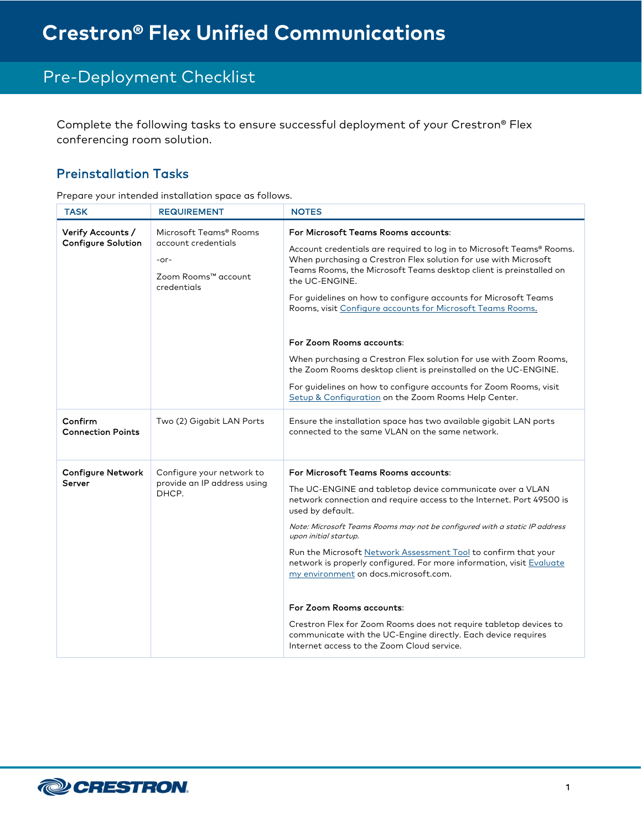## Pre-Deployment Checklist

 Complete the following tasks to ensure successful deployment of your Crestron® Flex conferencing room solution.

## Preinstallation Tasks

Prepare your intended installation space as follows.

| <b>TASK</b>                                    | <b>REQUIREMENT</b>                                                                            | <b>NOTES</b>                                                                                                                                                                                                                                                                                                                                                                                                                                                                                                                                                                                                                                                                                           |
|------------------------------------------------|-----------------------------------------------------------------------------------------------|--------------------------------------------------------------------------------------------------------------------------------------------------------------------------------------------------------------------------------------------------------------------------------------------------------------------------------------------------------------------------------------------------------------------------------------------------------------------------------------------------------------------------------------------------------------------------------------------------------------------------------------------------------------------------------------------------------|
| Verify Accounts /<br><b>Configure Solution</b> | Microsoft Teams® Rooms<br>account credentials<br>$-0r-$<br>Zoom Rooms™ account<br>credentials | For Microsoft Teams Rooms accounts:<br>Account credentials are required to log in to Microsoft Teams® Rooms.<br>When purchasing a Crestron Flex solution for use with Microsoft<br>Teams Rooms, the Microsoft Teams desktop client is preinstalled on<br>the UC-ENGINE.<br>For guidelines on how to configure accounts for Microsoft Teams<br>Rooms, visit Configure accounts for Microsoft Teams Rooms.<br>For Zoom Rooms accounts:                                                                                                                                                                                                                                                                   |
|                                                |                                                                                               | When purchasing a Crestron Flex solution for use with Zoom Rooms,<br>the Zoom Rooms desktop client is preinstalled on the UC-ENGINE.<br>For guidelines on how to configure accounts for Zoom Rooms, visit<br>Setup & Configuration on the Zoom Rooms Help Center.                                                                                                                                                                                                                                                                                                                                                                                                                                      |
| Confirm<br><b>Connection Points</b>            | Two (2) Gigabit LAN Ports                                                                     | Ensure the installation space has two available gigabit LAN ports<br>connected to the same VLAN on the same network.                                                                                                                                                                                                                                                                                                                                                                                                                                                                                                                                                                                   |
| <b>Configure Network</b><br>Server             | Configure your network to<br>provide an IP address using<br>DHCP.                             | For Microsoft Teams Rooms accounts:<br>The UC-ENGINE and tabletop device communicate over a VLAN<br>network connection and require access to the Internet. Port 49500 is<br>used by default.<br>Note: Microsoft Teams Rooms may not be configured with a static IP address<br>upon initial startup.<br>Run the Microsoft Network Assessment Tool to confirm that your<br>network is properly configured. For more information, visit Evaluate<br>my environment on docs.microsoft.com.<br>For Zoom Rooms accounts:<br>Crestron Flex for Zoom Rooms does not require tabletop devices to<br>communicate with the UC-Engine directly. Each device requires<br>Internet access to the Zoom Cloud service. |